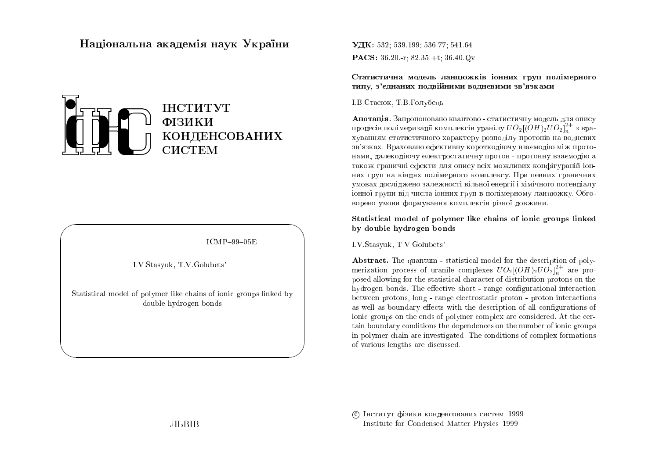# Національна академія наук України



 $ICMP-99-05E$ 

I.V.Stasyuk, T.V.Golubets'

Statistical model of polymer like chains of ionic groups linked by double hydrogen bonds

УДК: 532: 539.199: 536.77: 541.64 **PACS:**  $36.20 - r$ ;  $82.35 + t$ ;  $36.40 \text{ Qv}$ 

Статистична модель ланцюжків іонних груп полімерного типу, з'єднаних подвійними водневими зв'язками

І.В.Стасюк, Т.В.Голубець

Анотація. Запропоновано квантово - статистичну модель для опису процесів полімеризації комплексів уранілу  $UO_2[(OH)_2UO_2]_2^{2+}$  з врахуванням статистичного характеру розподілу протонів на водневих зв'язках. Враховано ефективну короткодіючу взаємодію між протонами, далекодіючу електростатичну протон - протонну взаємодію а також граничні ефекти для опису всіх можливих конфігурацій іонних груп на кінцях полімерного комплексу. При певних граничних умовах досліджено залежності вільної енергії і хімічного потенціалу іонної групи від числа іонних груп в полімерному ланцюжку. Обговорено умови формування комплексів різної довжини.

Statistical model of polymer like chains of ionic groups linked by double hydrogen bonds

I.V. Stasyuk, T.V. Golubets'

Abstract. The quantum - statistical model for the description of polymerization process of uranile complexes  $UO_2[(OH)_2UO_2]_n^{2+}$  are proposed allowing for the statistical character of distribution protons on the hydrogen bonds. The effective short - range configurational interaction between protons, long - range electrostatic proton - proton interactions as well as boundary effects with the description of all configurations of ionic groups on the ends of polymer complex are considered. At the certain boundary conditions the dependences on the number of ionic groups in polymer chain are investigated. The conditions of complex formations of various lengths are discussed.

С Інститут фізики конденсованих систем 1999 Institute for Condensed Matter Physics 1999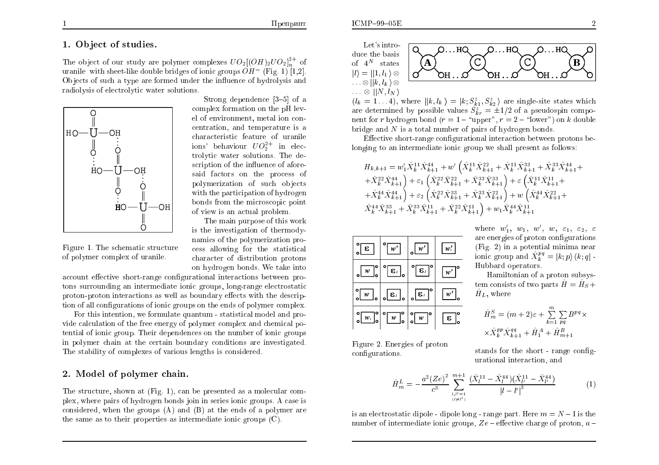#### $ICMP-99-05E$

# 1. Object of studies.

The object of our study are polymer complexes  $UO_2[(OH)_2UO_2]^{2+}$  of uranile with sheet-like double bridges of ionic groups  $\ddot{OH}$ <sup>-</sup> (Fig. 1) [1.2]. Objects of such a type are formed under the influence of hydrolysis and radiolysis of electrolytic water solutions.



Figure 1. The schematic structure

of polymer complex of uranile.

Strong dependence  $[3-5]$  of a complex formation on the pH level of environment, metal ion concentration, and temperature is a characteristic feature of uranile ions' behaviour  $UO_2^{2+}$  in electrolytic water solutions. The description of the influence of aforesaid factors on the process of polymerization of such objects with the participation of hydrogen bonds from the microscopic point of view is an actual problem.

The main purpose of this work is the investigation of thermodynamics of the polymerization process allowing for the statistical character of distribution protons on hydrogen bonds. We take into

account effective short-range configurational interactions between protons surrounding an intermediate ionic groups, long-range electrostatic proton-proton interactions as well as boundary effects with the description of all configurations of ionic groups on the ends of polymer complex.

For this intention, we formulate quantum - statistical model and provide calculation of the free energy of polymer complex and chemical potential of ionic group. Their dependences on the number of ionic groups in polymer chain at the certain boundary conditions are investigated. The stability of complexes of various lengths is considered.

## 2. Model of polymer chain.

The structure, shown at (Fig. 1), can be presented as a molecular complex, where pairs of hydrogen bonds join in series ionic groups. A case is considered, when the groups  $(A)$  and  $(B)$  at the ends of a polymer are the same as to their properties as intermediate ionic groups  $(C)$ .

Let's introduce the basis of  $4^N$  states  $|l\rangle = | |1, l_1\rangle \otimes$  $\ldots \otimes || k, l_k \,\rangle \otimes$  $\ldots \otimes ||N,l_N\rangle$ 



 $(l_k = 1 \dots 4)$ , where  $||k, l_k\rangle = |k; S_{k1}^z, S_{k2}^z\rangle$  are single-site states which are determined by possible values  $S_{kr}^z = \pm 1/2$  of a pseudospin component for r hydrogen bond ( $r = 1 - \text{``upper''}, r = 2 - \text{``lower''}$ ) on k double bridge and  $N$  is a total number of pairs of hydrogen bonds.

Effective short-range configurational interaction between protons belonging to an intermediate ionic group we shall present as follows:

$$
H_{k,k+1} = w'_1 \hat{X}_k^{11} \hat{X}_{k+1}^{44} + w'_1 \left( \hat{X}_k^{11} \hat{X}_{k+1}^{22} + \hat{X}_k^{11} \hat{X}_{k+1}^{33} + \hat{X}_k^{33} \hat{X}_{k+1}^{44} + \hat{X}_k^{22} \hat{X}_{k+1}^{44} \right) + \varepsilon_1 \left( \hat{X}_k^{22} \hat{X}_{k+1}^{22} + \hat{X}_k^{33} \hat{X}_{k+1}^{33} \right) + \varepsilon_2 \left( \hat{X}_k^{11} \hat{X}_{k+1}^{11} + \hat{X}_k^{44} \hat{X}_{k+1}^{44} \right) + \varepsilon_2 \left( \hat{X}_k^{22} \hat{X}_{k+1}^{33} + \hat{X}_k^{33} \hat{X}_{k+1}^{22} \right) + w_2 \left( \hat{X}_k^{44} \hat{X}_{k+1}^{22} + \hat{X}_k^{44} \hat{X}_{k+1}^{33} + \hat{X}_k^{33} \hat{X}_{k+1}^{11} + \hat{X}_k^{22} \hat{X}_{k+1}^{11} \right) + w_1 \hat{X}_k^{44} \hat{X}_{k+1}^{11}
$$

| S.                                                                    | w'                               | w'                                                                                                                                                          |                    |
|-----------------------------------------------------------------------|----------------------------------|-------------------------------------------------------------------------------------------------------------------------------------------------------------|--------------------|
| $\sqrt{w}$                                                            | $ \boldsymbol{\epsilon}_{^I} $   | $ \boldsymbol{\epsilon}_2 $                                                                                                                                 | $w^7$ <sup>o</sup> |
| $\sqrt{\frac{w}{\cdot}}$                                              | $_{\circ}$ ငြး $_{\circ}$ $\mid$ | $\circ \boxed{\epsilon}$                                                                                                                                    | w'                 |
| $\frac{1}{2}$ $\frac{1}{2}$ $\frac{1}{2}$ $\frac{1}{2}$ $\frac{1}{2}$ |                                  | $\begin{bmatrix} w \\ w \end{bmatrix}$ $\begin{bmatrix} 0 \\ 0 \end{bmatrix}$ $\begin{bmatrix} w \\ w \end{bmatrix}$ $\begin{bmatrix} 0 \\ w \end{bmatrix}$ | $\epsilon$         |

where  $w'_1$ ,  $w_1$ ,  $w'$ ,  $w$ ,  $\varepsilon_1$ ,  $\varepsilon_2$ ,  $\varepsilon$ are energies of proton configurations  $(Fig. 2)$  in a potential minima near ionic group and  $\hat{X}^{pq}_{k} = |k; p \rangle \langle k; q |$ . Hubbard operators.

Hamiltonian of a proton subsystem consists of two parts  $\hat{H} = \hat{H}_S +$  $\hat{H}_L$ , where

$$
\hat{H}_m^S = (m+2)\varepsilon + \sum_{k=1}^m \sum_{pq} B^{pq} \times \hat{X}_k^{pp} \hat{X}_{k+1}^{qq} + \hat{H}_1^A + \hat{H}_{m+1}^B
$$

Figure 2. Energies of proton configurations.

stands for the short - range configurational interaction, and

$$
\hat{H}_{m}^{L} = -\frac{a^{2}(Ze)^{2}}{c^{3}} \sum_{\substack{l,l'=1\\(l \neq l')}}^{m+1} \frac{(\hat{X}_{l}^{11} - \hat{X}_{l}^{44})(\hat{X}_{l'}^{11} - \hat{X}_{l'}^{44})}{|l - l'|^{3}}
$$
(1)

is an electrostatic dipole - dipole long - range part. Here  $m = N - 1$  is the number of intermediate ionic groups,  $Ze$  – effective charge of proton,  $a$  –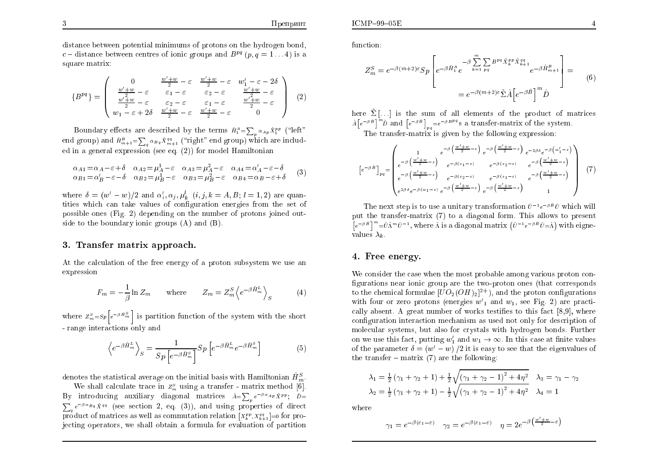distance between potential minimums of protons on the hydrogen bond, c – distance between centres of ionic groups and  $B^{pq}$   $(p, q = 1...4)$  is a square matrix:

$$
\{B^{pq}\} = \begin{pmatrix}\n0 & \frac{w' + w}{2} - \varepsilon & \frac{w' + w}{2} - \varepsilon & w'_1 - \varepsilon - 2\delta \\
\frac{w' + w}{2} - \varepsilon & \varepsilon_1 - \varepsilon & \varepsilon_2 - \varepsilon & \frac{w' + w}{2} - \varepsilon \\
\frac{w' + w}{2} - \varepsilon & \varepsilon_2 - \varepsilon & \varepsilon_1 - \varepsilon & \frac{w' + w}{2} - \varepsilon \\
w_1 - \varepsilon + 2\delta & \frac{w' + w}{2} - \varepsilon & \frac{w' + w}{2} - \varepsilon & 0\n\end{pmatrix} (2)
$$

Boundary effects are described by the terms  $\hat{H}_1^A = \sum_{p} \alpha_{Ap} \hat{X}_1^{pp}$  ("left" end group) and  $\hat{H}_{m+1}^B = \sum_{\alpha} \alpha_{\beta} q \hat{X}_{m+1}^{qq}$  ("right" end group) which are included in a general expression (see eq.  $(2)$ ) for model Hamiltonian

$$
\alpha_{A1} = \alpha_A - \varepsilon + \delta \quad \alpha_{A2} = \mu_A^1 - \varepsilon \quad \alpha_{A3} = \mu_A^2 - \varepsilon \quad \alpha_{A4} = \alpha_A' - \varepsilon - \delta \n\alpha_{B1} = \alpha_B' - \varepsilon - \delta \quad \alpha_{B2} = \mu_B^1 - \varepsilon \quad \alpha_{B3} = \mu_B^2 - \varepsilon \quad \alpha_{B4} = \alpha_B - \varepsilon + \delta
$$
\n(3)

where  $\delta = (w'-w)/2$  and  $\alpha'_i, \alpha_j, \mu^l_k$   $(i, j, k = A, B; l = 1, 2)$  are quantities which can take values of configuration energies from the set of possible ones (Fig. 2) depending on the number of protons joined outside to the boundary ionic groups  $(A)$  and  $(B)$ .

### 3. Transfer matrix approach.

At the calculation of the free energy of a proton subsystem we use an expression

$$
F_m = -\frac{1}{\beta} \ln Z_m \quad \text{where} \quad Z_m = Z_m^S \left\langle e^{-\beta \hat{H}_m^L} \right\rangle_S \quad (4)
$$

where  $Z_m^s = S_p \left[ e^{-\beta \hat{H}_m^s} \right]$  is partition function of the system with the short - range interactions only and

$$
\left\langle e^{-\beta \hat{H}_{m}^{L}} \right\rangle_{S} = \frac{1}{Sp\left[e^{-\beta \hat{H}_{m}^{S}}\right]} Sp\left[e^{-\beta \hat{H}_{m}^{L}} e^{-\beta \hat{H}_{m}^{S}}\right]
$$
(5)

denotes the statistical average on the initial basis with Hamiltonian  $\hat{H}_{m}^{S}$ .

We shall calculate trace in  $Z_m^s$  using a transfer - matrix method [6]. By introducing auxiliary diagonal matrices  $\hat{A} = \sum_{n} e^{-\beta \alpha_{AP}} \hat{X}^{pp}; \quad \hat{D} =$  $\sum_{a} e^{-\beta \alpha} B_{q} \hat{X}^{qq}$  (see section 2, eq. (3)), and using properties of direct product of matrices as well as commutation relation  $[x_i^{pp}, x_{i+1}^{qq}] = 0$  for projecting operators, we shall obtain a formula for evaluation of partition

function:

 $ICMP-99-05E$ 

$$
Z_m^S = e^{-\beta(m+2)\epsilon} S p \left[ e^{-\beta \hat{H}_1^A} e^{-\beta \sum_{k=1}^m \sum_{pq} B^{pq} \hat{X}_k^{pp} \hat{X}_{k+1}^{qq}} e^{-\beta \hat{H}_{m+1}^B} \right] =
$$
  
= 
$$
e^{-\beta(m+2)\epsilon} \tilde{\Sigma} \hat{A} \left[ e^{-\beta \hat{B}} \right]^m \hat{D}
$$
 (6)

here  $\tilde{\Sigma}$ [...] is the sum of all elements of the product of matrices  $A\left[e^{-\beta \hat{B}}\right]^{m}\hat{D}$  and  $\left[e^{-\beta \hat{B}}\right]_{pq}=e^{-\beta B^{pq}}s$  a transfer-matrix of the system. The transfer-matrix is given by the following expression:

$$
\left[e^{-\beta \hat{B}}\right]_{pq} = \begin{pmatrix} 1 & e^{-\beta \left(\frac{w'+w}{2}-\varepsilon\right)} e^{-\beta \left(\frac{w'+w}{2}-\varepsilon\right)} & e^{-2\beta \delta} e^{-\beta \left(w'_{1}-\varepsilon\right)} \\ e^{-\beta \left(\frac{w'+w}{2}-\varepsilon\right)} & e^{-\beta \left(\varepsilon_{1}-\varepsilon\right)} & e^{-\beta \left(\varepsilon_{2}-\varepsilon\right)} & e^{-\beta \left(\frac{w'+w}{2}-\varepsilon\right)} \end{pmatrix}
$$

$$
\left[e^{-\beta \hat{B}}\right]_{pq} = \begin{pmatrix} 1 & e^{-\beta \left(\frac{w'+w}{2}-\varepsilon\right)} & e^{-\beta \left(\varepsilon_{1}-\varepsilon\right)} & e^{-\beta \left(\frac{w'+w}{2}-\varepsilon\right)} \\ e^{-\beta \left(\varepsilon_{2}-\varepsilon\right)} & e^{-\beta \left(\varepsilon_{1}-\varepsilon\right)} & e^{-\beta \left(\frac{w'+w}{2}-\varepsilon\right)} \end{pmatrix}
$$
 (7)

The next step is to use a unitary transformation  $\hat{U}^{-1}e^{-\beta \hat{B}}\hat{U}$  which will put the transfer-matrix (7) to a diagonal form. This allows to present  $\left[e^{-\beta \hat{B}}\right]^{m} = \hat{U} \hat{\Lambda}^{m} \hat{U}^{-1}$ , where  $\hat{\Lambda}$  is a diagonal matrix  $(\hat{U}^{-1} e^{-\beta \hat{B}} \hat{U} = \hat{\Lambda})$  with eignevalues  $\lambda_k$ .

# 4. Free energy.

We consider the case when the most probable among various proton configurations near ionic group are the two-proton ones (that corresponds to the chemical formulae  $[UO_2(OH)_2]^{2+}$ , and the proton configurations with four or zero protons (energies  $w'$ <sub>1</sub> and  $w$ <sub>1</sub>, see Fig. 2) are practically absent. A great number of works testifies to this fact [8,9], where configuration interaction mechanism as used not only for description of molecular systems, but also for crystals with hydrogen bonds. Further on we use this fact, putting  $w'_1$  and  $w_1 \rightarrow \infty$ . In this case at finite values of the parameter  $\delta = (w'-w)/2$  it is easy to see that the eigenvalues of the transfer – matrix  $(7)$  are the following:

$$
\lambda_1 = \frac{1}{2} (\gamma_1 + \gamma_2 + 1) + \frac{1}{2} \sqrt{(\gamma_1 + \gamma_2 - 1)^2 + 4\eta^2} \quad \lambda_3 = \gamma_1 - \gamma_2
$$
  

$$
\lambda_2 = \frac{1}{2} (\gamma_1 + \gamma_2 + 1) - \frac{1}{2} \sqrt{(\gamma_1 + \gamma_2 - 1)^2 + 4\eta^2} \quad \lambda_4 = 1
$$

where

$$
\gamma_1 = e^{-\beta(\varepsilon_1 - \varepsilon)} \quad \gamma_2 = e^{-\beta(\varepsilon_1 - \varepsilon)} \quad \eta = 2e^{-\beta\left(\frac{w' + w}{2} - \varepsilon\right)}
$$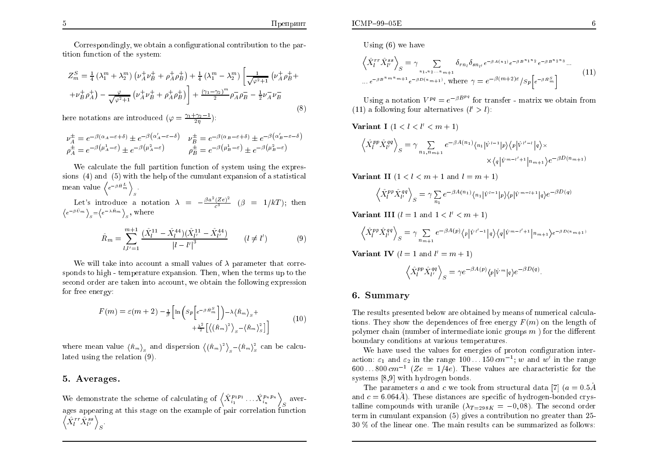Correspondingly, we obtain a configurational contribution to the partition function of the system:

$$
Z_m^S = \frac{1}{4} \left( \lambda_1^m + \lambda_2^m \right) \left( \nu_A^+ \nu_B^+ + \rho_A^+ \rho_B^+ \right) + \frac{1}{4} \left( \lambda_1^m - \lambda_2^m \right) \left[ \frac{1}{\sqrt{\varphi^2 + 1}} \left( \nu_A^+ \rho_B^+ + \nu_B^+ \rho_A^+ \right) - \frac{\varphi}{\sqrt{\varphi^2 + 1}} \left( \nu_A^+ \nu_B^+ + \rho_A^+ \rho_B^+ \right) \right] + \frac{(\gamma_1 - \gamma_2)^m}{2} \rho_A^- \rho_B^- - \frac{1}{2} \nu_A^- \nu_B^-
$$
\n8.8888 notations are introduced.

\n
$$
(8)
$$

here notations are introduced  $(\varphi = \frac{\gamma_1 + \gamma_2 - 1}{2\eta})$ :

$$
\begin{aligned}\n\nu_A^{\pm} &= e^{-\beta(\alpha_A - \varepsilon + \delta)} \pm e^{-\beta(\alpha_A' - \varepsilon - \delta)} & \nu_B^{\pm} &= e^{-\beta(\alpha_B - \varepsilon + \delta)} \pm e^{-\beta(\alpha_B' - \varepsilon - \delta)} \\
\rho_A^{\pm} &= e^{-\beta(\mu_A^1 - \varepsilon)} \pm e^{-\beta(\mu_A^2 - \varepsilon)} & \rho_B^{\pm} &= e^{-\beta(\mu_B^1 - \varepsilon)} \pm e^{-\beta(\mu_B^2 - \varepsilon)}\n\end{aligned}
$$

We calculate the full partition function of system using the expressions  $(4)$  and  $(5)$  with the help of the cumulant expansion of a statistical mean value  $\langle e^{-\beta \hat{H}_m^L} \rangle$ .

Let's introduce a notation  $\lambda = -\frac{\beta a^2 (Ze)^2}{c^3}$  ( $\beta = 1/kT$ ); then  $\langle e^{-\beta \hat{U}_m} \rangle_s = \langle e^{-\lambda \hat{R}_m} \rangle_s$ , where

$$
\hat{R}_m = \sum_{l,l'=1}^{m+1} \frac{(\hat{X}_l^{11} - \hat{X}_l^{44})(\hat{X}_{l'}^{11} - \hat{X}_{l'}^{44})}{|l - l'|^3} \qquad (l \neq l') \tag{9}
$$

We will take into account a small values of  $\lambda$  parameter that corresponds to high - temperature expansion. Then, when the terms up to the second order are taken into account, we obtain the following expression for free energy:

$$
F(m) = \varepsilon(m+2) - \frac{1}{\beta} \left[ \ln \left( Sp \left[ e^{-\beta \hat{H}_m^S} \right] \right) - \lambda \langle \hat{R}_m \rangle_s + \frac{\lambda^2}{2} \left[ \langle \left( \hat{R}_m \right)^2 \rangle_s - \langle \hat{R}_m \rangle_s^2 \right] \right]
$$
(10)

where mean value  $\langle \hat{R}_m \rangle_{\rm g}$  and dispersion  $\langle (\hat{R}_m)^2 \rangle_{\rm g} - \langle \hat{R}_m \rangle_{\rm g}^2$  can be calculated using the relation  $(9)$ .

#### 5. Averages.

We demonstrate the scheme of calculating of  $\left\langle \hat{X}_{i_1}^{p_1p_1} \dots \hat{X}_{i_n}^{p_np_n} \right\rangle_S$  averages appearing at this stage on the example of pair correlation function  $\left\langle \tilde{X}_l^{rr} \hat{X}_{l'}^{ss} \right\rangle_{S}$ .

$$
\left\langle \hat{X}_l^{rr} \hat{X}_{l'}^{ss} \right\rangle_S = \gamma \sum_{n_1, n_2, \dots, n_{m+1}} \delta_{rn_l} \delta_{sn_{l'}} e^{-\beta A(n_1)} e^{-\beta B^{n_1 n_2}} e^{-\beta B^{n_2 n_3}} \dots
$$
\n
$$
\dots e^{-\beta B^{n_m n_m + 1}} e^{-\beta D(n_{m+1})}, \text{ where } \gamma = e^{-\beta (m+2)\varepsilon} / s_p \Big[ e^{-\beta \hat{H}_m^S} \Big] \tag{11}
$$

Using a notation  $V^{pq} = e^{-\beta B^{pq}}$  for transfer - matrix we obtain from (11) a following four alternatives  $(l' > l)$ :

**Variant I**  $(1 < l < l' < m + 1)$ 

$$
\left\langle \hat{X}_l^{pp} \hat{X}_{l'}^{qq} \right\rangle_S = \gamma \sum_{n_1, n_{m+1}} e^{-\beta A(n_1)} \langle n_1 | \hat{v}^{l-1} | p \rangle \langle p | \hat{v}^{l'-l} | q \rangle \times \times \langle q | \hat{v}^{m-l'+1} | n_{m+1} \rangle e^{-\beta D(n_{m+1})}
$$

Variant II  $(1 < l < m+1$  and  $l = m+1$ )

$$
\left\langle \hat{X}_l^{pp} \hat{X}_{l'}^{qq} \right\rangle_S = \gamma \sum_{n_1} e^{-\beta A(n_1)} \langle n_1 | \hat{V}^{l-1} | p \rangle \langle p | \hat{V}^{m-l+1} | q \rangle e^{-\beta D(q)}
$$

Variant III  $(l = 1$  and  $1 < l' < m + 1$ 

$$
\left\langle \hat{X}_l^{pp} \hat{X}_{l'}^{qq} \right\rangle_S = \gamma \sum_{n_{m+1}} e^{-\beta A(p)} \langle p | \hat{V}^{l'-1} | q \rangle \langle q | \hat{V}^{m-l'+1} | n_{m+1} \rangle e^{-\beta D (n_{m+1})}
$$

Variant IV  $(l = 1$  and  $l' = m + 1$ 

$$
\left\langle \hat{X}^{pp}_{l} \hat{X}^{qq}_{l'} \right\rangle_{S} = \gamma e^{-\beta A(p)} \langle p | \hat{v}^{m} | q \rangle e^{-\beta D(q)}
$$

#### 6. Summary

The results presented below are obtained by means of numerical calculations. They show the dependences of free energy  $F(m)$  on the length of polymer chain (number of intermediate ionic groups  $m$ ) for the different boundary conditions at various temperatures.

We have used the values for energies of proton configuration interaction:  $\varepsilon_1$  and  $\varepsilon_2$  in the range 100...150 cm<sup>-1</sup>; w and w' in the range  $600...800 \, \text{cm}^{-1}$  (Ze = 1/4e). These values are characteristic for the systems [8,9] with hydrogen bonds.

The parameters a and c we took from structural data [7]  $(a = 0.5\text{Å})$ and  $c = 6.064\AA$ ). These distances are specific of hydrogen-bonded crystalline compounds with uranile  $(\lambda_{T=298K} = -0.08)$ . The second order term in cumulant expansion  $(5)$  gives a contribution no greater than 25-30 % of the linear one. The main results can be summarized as follows: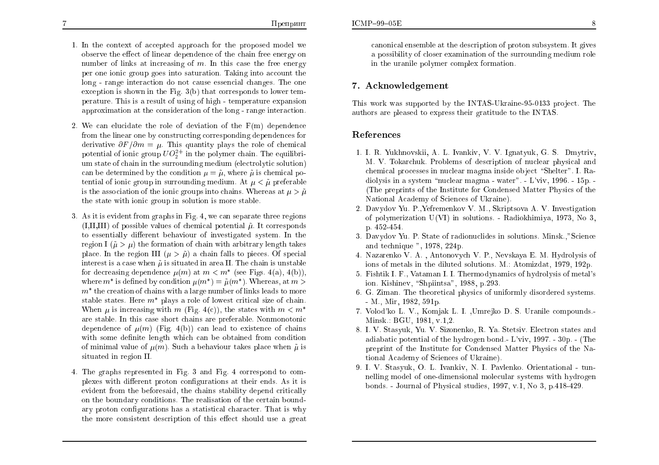- 1. In the context of accepted approach for the proposed model we observe the effect of linear dependence of the chain free energy on number of links at increasing of  $m$ . In this case the free energy per one ionic group goes into saturation. Taking into account the long - range interaction do not cause essencial changes. The one exception is shown in the Fig.  $3(b)$  that corresponds to lower temperature. This is a result of using of high - temperature expansion approximation at the consideration of the long - range interaction.
- 2. We can elucidate the role of deviation of the  $F(m)$  dependence from the linear one by constructing corresponding dependences for derivative  $\partial F/\partial m = \mu$ . This quantity plays the role of chemical potential of ionic group  $UO_2^{2+}$  in the polymer chain. The equilibrium state of chain in the surrounding medium (electrolytic solution) can be determined by the condition  $\mu = \tilde{\mu}$ , where  $\tilde{\mu}$  is chemical potential of ionic group in surrounding medium. At  $\mu < \tilde{\mu}$  preferable is the association of the ionic groups into chains. Whereas at  $\mu > \tilde{\mu}$ the state with ionic group in solution is more stable.
- 3. As it is evident from graphs in Fig. 4, we can separate three regions  $(I, II, III)$  of possible values of chemical potential  $\tilde{\mu}$ . It corresponds to essentially different behaviour of investigated system. In the region I ( $\tilde{\mu} > \mu$ ) the formation of chain with arbitrary length takes place. In the region III  $(\mu > \tilde{\mu})$  a chain falls to pieces. Of special interest is a case when  $\tilde{\mu}$  is situated in area II. The chain is unstable for decreasing dependence  $\mu(m)$  at  $m < m^*$  (see Figs. 4(a), 4(b)), where  $m^*$  is defined by condition  $\mu(m^*) = \tilde{\mu}(m^*)$ . Whereas, at  $m >$  $m^*$  the creation of chains with a large number of links leads to more stable states. Here  $m^*$  plays a role of lowest critical size of chain. When  $\mu$  is increasing with m (Fig. 4(c)), the states with  $m < m^*$ are stable. In this case short chains are preferable. Nonmonotonic dependence of  $\mu(m)$  (Fig. 4(b)) can lead to existence of chains with some definite length which can be obtained from condition of minimal value of  $\mu(m)$ . Such a behaviour takes place when  $\tilde{\mu}$  is situated in region II.
- 4. The graphs represented in Fig. 3 and Fig. 4 correspond to complexes with different proton configurations at their ends. As it is evident from the beforesaid, the chains stability depend critically on the boundary conditions. The realisation of the certain boundary proton configurations has a statistical character. That is why the more consistent description of this effect should use a great

canonical ensemble at the description of proton subsystem. It gives a possibility of closer examination of the surrounding medium role in the uranile polymer complex formation.

### 7. Acknowledgement

This work was supported by the INTAS-Ukraine-95-0133 project. The authors are pleased to express their gratitude to the INTAS.

## References

- 1. I. R. Yukhnovskii, A. L. Ivankiv, V. V. Ignatyuk, G. S. Dmytriv, M. V. Tokarchuk. Problems of description of nuclear physical and chemical processes in nuclear magma inside object "Shelter". I. Radiolysis in a system "nuclear magma - water". - L'viv, 1996. - 15p. -(The preprints of the Institute for Condensed Matter Physics of the National Academy of Sciences of Ukraine).
- 2. Davydov Yu. P., Yefremenkov V. M., Skriptsova A. V. Investigation of polymerization  $U(VI)$  in solutions. - Radiokhimiya, 1973, No 3, p. 452-454.
- 3. Davydov Yu. P. State of radionuclides in solutions. Minsk.,"Science and technique ", 1978, 224p.
- 4. Nazarenko V. A., Antonovych V. P., Nevskaya E. M. Hydrolysis of ions of metals in the diluted solutions. M.: Atomizdat, 1979, 192p.
- 5. Fishtik I. F., Vataman I. I. Thermodynamics of hydrolysis of metal's ion. Kishinev, "Shpiintsa", 1988, p.293.
- 6. G. Ziman. The theoretical physics of uniformly disordered systems.  $-M., Mir, 1982, 591p.$
- 7. Volod'ko L. V., Komjak L. I., Umrejko D. S. Uranile compounds. Minsk.: BGU, 1981, v.1,2.
- 8. I. V. Stasyuk, Yu. V. Sizonenko, R. Ya. Stetsiv. Electron states and adiabatic potential of the hydrogen bond. L'viv,  $1997 - 30p$ . (The preprint of the Institute for Condensed Matter Physics of the National Academy of Sciences of Ukraine).
- 9. I. V. Stasyuk, O. L. Ivankiv, N. I. Pavlenko. Orientational tunnelling model of one-dimensional molecular systems with hydrogen bonds. - Journal of Physical studies, 1997, v.1, No 3, p.418-429.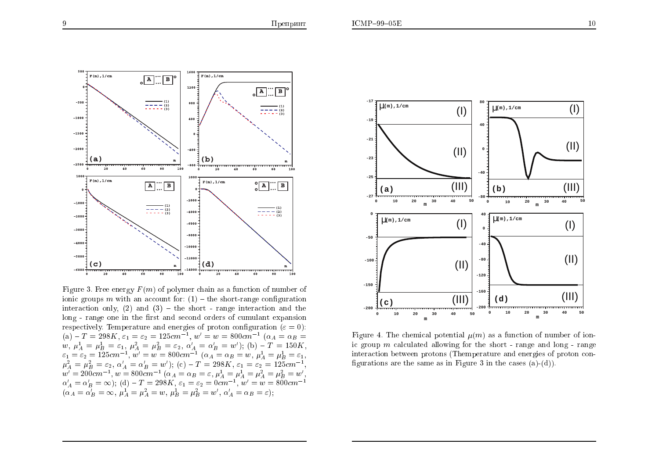

Figure 3. Free energy  $F(m)$  of polymer chain as a function of number of ionic groups m with an account for:  $(1)$  – the short-range configuration interaction only, (2) and (3) – the short - range interaction and the long - range one in the first and second orders of cumulant expansion respectively. Temperature and energies of proton configuration ( $\varepsilon = 0$ ): respectively. Temperature and energies of proton comiguration ( $\varepsilon = 0$ ):<br>
(a)  $-T = 298K$ ,  $\varepsilon_1 = \varepsilon_2 = 125cm^{-1}$ ,  $w' = w = 800cm^{-1}$  ( $\alpha_A = \alpha_B = w$ ,  $\mu_A^1 = \mu_B^1 = \varepsilon_1$ ,  $\mu_A^2 = \mu_B^2 = \varepsilon_2$ ,  $\alpha'_A = \alpha'_B = w'$ ); (b)  $-T = 150K$ ,<br>



Figure 4. The chemical potential  $\mu(m)$  as a function of number of ionic group  $m$  calculated allowing for the short - range and long - range interaction between protons (Themperature and energies of proton configurations are the same as in Figure 3 in the cases  $(a)-(d)$ .